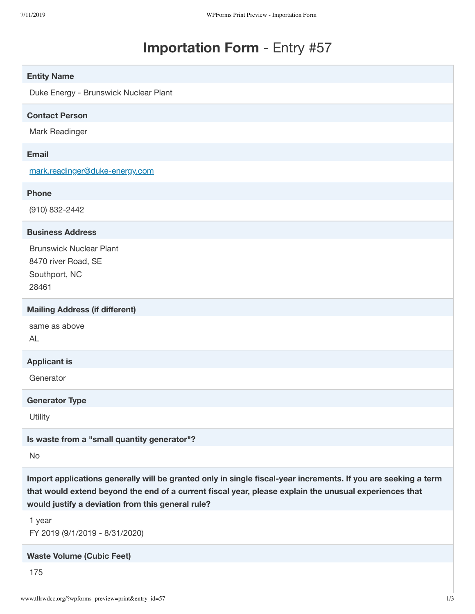## **Importation Form** - Entry #57

| <b>Entity Name</b>                                                                                                                                                                                                                                                            |  |
|-------------------------------------------------------------------------------------------------------------------------------------------------------------------------------------------------------------------------------------------------------------------------------|--|
| Duke Energy - Brunswick Nuclear Plant                                                                                                                                                                                                                                         |  |
| <b>Contact Person</b>                                                                                                                                                                                                                                                         |  |
| Mark Readinger                                                                                                                                                                                                                                                                |  |
| <b>Email</b>                                                                                                                                                                                                                                                                  |  |
| mark.readinger@duke-energy.com                                                                                                                                                                                                                                                |  |
| <b>Phone</b>                                                                                                                                                                                                                                                                  |  |
| (910) 832-2442                                                                                                                                                                                                                                                                |  |
| <b>Business Address</b>                                                                                                                                                                                                                                                       |  |
| <b>Brunswick Nuclear Plant</b><br>8470 river Road, SE<br>Southport, NC<br>28461                                                                                                                                                                                               |  |
| <b>Mailing Address (if different)</b>                                                                                                                                                                                                                                         |  |
| same as above<br><b>AL</b>                                                                                                                                                                                                                                                    |  |
| <b>Applicant is</b>                                                                                                                                                                                                                                                           |  |
| Generator                                                                                                                                                                                                                                                                     |  |
| <b>Generator Type</b>                                                                                                                                                                                                                                                         |  |
| Utility                                                                                                                                                                                                                                                                       |  |
| Is waste from a "small quantity generator"?                                                                                                                                                                                                                                   |  |
| No                                                                                                                                                                                                                                                                            |  |
| Import applications generally will be granted only in single fiscal-year increments. If you are seeking a term<br>that would extend beyond the end of a current fiscal year, please explain the unusual experiences that<br>would justify a deviation from this general rule? |  |
| 1 year<br>FY 2019 (9/1/2019 - 8/31/2020)                                                                                                                                                                                                                                      |  |
| <b>Waste Volume (Cubic Feet)</b>                                                                                                                                                                                                                                              |  |
| 175                                                                                                                                                                                                                                                                           |  |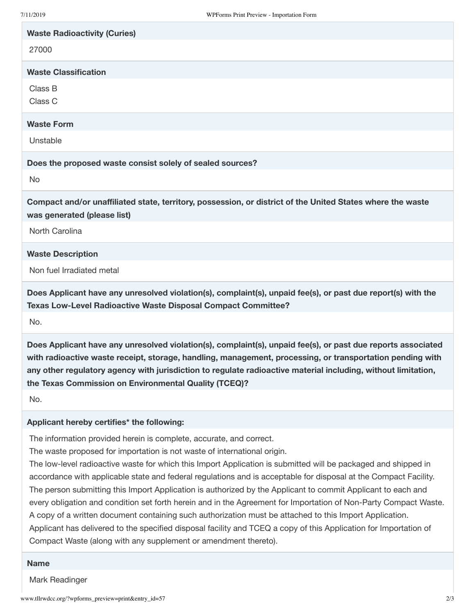| <b>Waste Radioactivity (Curies)</b>                                                                                                                                           |
|-------------------------------------------------------------------------------------------------------------------------------------------------------------------------------|
| 27000                                                                                                                                                                         |
| <b>Waste Classification</b>                                                                                                                                                   |
| Class B<br>Class C                                                                                                                                                            |
| <b>Waste Form</b>                                                                                                                                                             |
| Unstable                                                                                                                                                                      |
| Does the proposed waste consist solely of sealed sources?                                                                                                                     |
| No                                                                                                                                                                            |
| Compact and/or unaffiliated state, territory, possession, or district of the United States where the waste<br>was generated (please list)                                     |
| North Carolina                                                                                                                                                                |
| <b>Waste Description</b>                                                                                                                                                      |
| Non fuel Irradiated metal                                                                                                                                                     |
| Does Applicant have any unresolved violation(s), complaint(s), unpaid fee(s), or past due report(s) with the<br>Texas Low-Level Radioactive Waste Disposal Compact Committee? |
| No.                                                                                                                                                                           |
| Does Applicant have any unresolved violation(s), complaint(s), unpaid fee(s), or past due reports associated                                                                  |

**Does Applicant have any unresolved violation(s), complaint(s), unpaid fee(s), or past due reports associated with radioactive waste receipt, storage, handling, management, processing, or transportation pending with any other regulatory agency with jurisdiction to regulate radioactive material including, without limitation, the Texas Commission on Environmental Quality (TCEQ)?**

No.

## **Applicant hereby certifies\* the following:**

The information provided herein is complete, accurate, and correct.

The waste proposed for importation is not waste of international origin.

The low-level radioactive waste for which this Import Application is submitted will be packaged and shipped in accordance with applicable state and federal regulations and is acceptable for disposal at the Compact Facility. The person submitting this Import Application is authorized by the Applicant to commit Applicant to each and every obligation and condition set forth herein and in the Agreement for Importation of Non-Party Compact Waste. A copy of a written document containing such authorization must be attached to this Import Application. Applicant has delivered to the specified disposal facility and TCEQ a copy of this Application for Importation of Compact Waste (along with any supplement or amendment thereto).

## **Name**

Mark Readinger